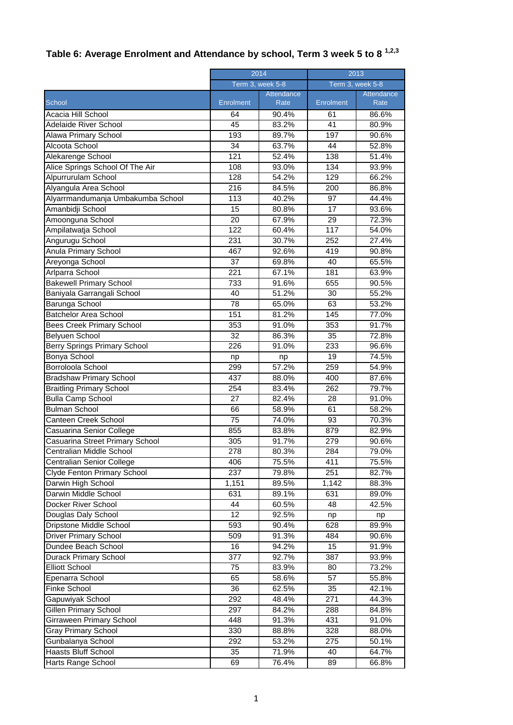## **Table 6: Average Enrolment and Attendance by school, Term 3 week 5 to 8 1,2,3**

|                                   | 2014<br>Term 3, week 5-8 |            | 2013<br>Term 3, week 5-8 |            |
|-----------------------------------|--------------------------|------------|--------------------------|------------|
|                                   |                          |            |                          |            |
|                                   |                          | Attendance |                          | Attendance |
| School                            | Enrolment                | Rate       | Enrolment                | Rate       |
| Acacia Hill School                | 64                       | 90.4%      | 61                       | 86.6%      |
| <b>Adelaide River School</b>      | 45                       | 83.2%      | 41                       | 80.9%      |
| Alawa Primary School              | 193                      | 89.7%      | 197                      | 90.6%      |
| Alcoota School                    | $\overline{34}$          | 63.7%      | 44                       | 52.8%      |
| Alekarenge School                 | 121                      | 52.4%      | 138                      | 51.4%      |
| Alice Springs School Of The Air   | 108                      | 93.0%      | 134                      | 93.9%      |
| Alpurrurulam School               | 128                      | 54.2%      | $\overline{129}$         | 66.2%      |
| Alyangula Area School             | 216                      | 84.5%      | 200                      | 86.8%      |
| Alyarrmandumanja Umbakumba School | 113                      | 40.2%      | 97                       | 44.4%      |
| Amanbidji School                  | 15                       | 80.8%      | 17                       | 93.6%      |
| Amoonguna School                  | 20                       | 67.9%      | 29                       | 72.3%      |
| Ampilatwatja School               | 122                      | 60.4%      | 117                      | 54.0%      |
| Angurugu School                   | 231                      | 30.7%      | 252                      | 27.4%      |
| Anula Primary School              | 467                      | 92.6%      | 419                      | 90.8%      |
| Areyonga School                   | 37                       | 69.8%      | 40                       | 65.5%      |
| Arlparra School                   | 221                      | 67.1%      | 181                      | 63.9%      |
| <b>Bakewell Primary School</b>    | 733                      | 91.6%      | 655                      | 90.5%      |
| Baniyala Garrangali School        | 40                       | 51.2%      | 30                       | 55.2%      |
| Barunga School                    | 78                       | 65.0%      | 63                       | 53.2%      |
| <b>Batchelor Area School</b>      | 151                      | 81.2%      | 145                      | 77.0%      |
| <b>Bees Creek Primary School</b>  | 353                      | 91.0%      | 353                      | 91.7%      |
| Belyuen School                    | $\overline{32}$          | 86.3%      | $\overline{35}$          | 72.8%      |
| Berry Springs Primary School      | 226                      | 91.0%      | 233                      | 96.6%      |
| <b>Bonya School</b>               | np                       | np         | 19                       | 74.5%      |
| Borroloola School                 | 299                      | 57.2%      | 259                      | 54.9%      |
| <b>Bradshaw Primary School</b>    | 437                      | 88.0%      | 400                      | 87.6%      |
| <b>Braitling Primary School</b>   | 254                      | 83.4%      | 262                      | 79.7%      |
| <b>Bulla Camp School</b>          | 27                       | 82.4%      | 28                       | 91.0%      |
| <b>Bulman School</b>              | 66                       | 58.9%      | 61                       | 58.2%      |
| Canteen Creek School              | 75                       | 74.0%      | 93                       | 70.3%      |
| Casuarina Senior College          | 855                      | 83.8%      | 879                      | 82.9%      |
| Casuarina Street Primary School   | 305                      | 91.7%      | 279                      | 90.6%      |
| Centralian Middle School          | 278                      | 80.3%      | 284                      | 79.0%      |
| Centralian Senior College         | 406                      | 75.5%      | 411                      | 75.5%      |
| Clyde Fenton Primary School       | 237                      | 79.8%      | 251                      | 82.7%      |
| Darwin High School                | 1,151                    | 89.5%      | 1,142                    | 88.3%      |
| Darwin Middle School              | 631                      | 89.1%      | 631                      | 89.0%      |
| Docker River School               | 44                       | 60.5%      | 48                       | 42.5%      |
| Douglas Daly School               | 12                       | 92.5%      | np                       | np         |
| Dripstone Middle School           | 593                      | 90.4%      | 628                      | 89.9%      |
| <b>Driver Primary School</b>      | 509                      | 91.3%      | 484                      | 90.6%      |
| Dundee Beach School               | 16                       | 94.2%      | 15                       | 91.9%      |
| <b>Durack Primary School</b>      | $\overline{377}$         | 92.7%      | 387                      | 93.9%      |
| <b>Elliott School</b>             | 75                       | 83.9%      | 80                       | 73.2%      |
| Epenarra School                   | 65                       | 58.6%      | 57                       | 55.8%      |
| Finke School                      | 36                       | 62.5%      | 35                       | 42.1%      |
| Gapuwiyak School                  | 292                      | 48.4%      | 271                      | 44.3%      |
| <b>Gillen Primary School</b>      | 297                      | 84.2%      | 288                      | 84.8%      |
| Girraween Primary School          | 448                      | 91.3%      | 431                      | 91.0%      |
| <b>Gray Primary School</b>        | 330                      | 88.8%      | 328                      | 88.0%      |
| Gunbalanya School                 | 292                      | 53.2%      | 275                      | 50.1%      |
| <b>Haasts Bluff School</b>        | 35                       | 71.9%      | 40                       | 64.7%      |
| Harts Range School                | 69                       | 76.4%      | 89                       | 66.8%      |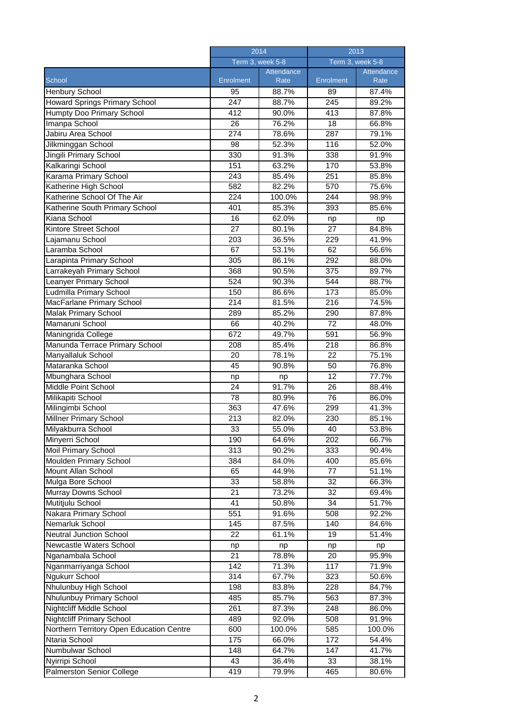|                                          | 2014             |                           | 2013             |                    |
|------------------------------------------|------------------|---------------------------|------------------|--------------------|
|                                          | Term 3, week 5-8 |                           | Term 3, week 5-8 |                    |
| School                                   | Enrolment        | <b>Attendance</b><br>Rate | Enrolment        | Attendance<br>Rate |
| <b>Henbury School</b>                    | 95               | 88.7%                     | 89               | 87.4%              |
| Howard Springs Primary School            | 247              | 88.7%                     | 245              | 89.2%              |
| <b>Humpty Doo Primary School</b>         | 412              | 90.0%                     | 413              | 87.8%              |
| Imanpa School                            | 26               | 76.2%                     | 18               | 66.8%              |
| Jabiru Area School                       | 274              | 78.6%                     | 287              | 79.1%              |
| Jilkminggan School                       | 98               | 52.3%                     | 116              | 52.0%              |
| Jingili Primary School                   | 330              | 91.3%                     | 338              | 91.9%              |
| Kalkaringi School                        | 151              | 63.2%                     | 170              | 53.8%              |
| Karama Primary School                    | 243              | 85.4%                     | 251              | 85.8%              |
| Katherine High School                    | 582              | 82.2%                     | 570              | 75.6%              |
| Katherine School Of The Air              | 224              | 100.0%                    | 244              | 98.9%              |
| Katherine South Primary School           | 401              | 85.3%                     | 393              | 85.6%              |
| Kiana School                             | 16               | 62.0%                     | np               | np                 |
| Kintore Street School                    | 27               | 80.1%                     | 27               | 84.8%              |
| Lajamanu School                          | 203              | 36.5%                     | 229              | 41.9%              |
| Laramba School                           | 67               | 53.1%                     | 62               | 56.6%              |
| Larapinta Primary School                 | 305              | 86.1%                     | 292              | 88.0%              |
| Larrakeyah Primary School                | 368              | 90.5%                     | 375              | 89.7%              |
| <b>Leanyer Primary School</b>            | 524              | 90.3%                     | 544              | 88.7%              |
| Ludmilla Primary School                  | 150              | 86.6%                     | 173              | 85.0%              |
| MacFarlane Primary School                | 214              | 81.5%                     | 216              | 74.5%              |
| Malak Primary School                     | 289              | 85.2%                     | 290              | 87.8%              |
| Mamaruni School                          | 66               | 40.2%                     | 72               | 48.0%              |
| Maningrida College                       | 672              | 49.7%                     | 591              | 56.9%              |
| Manunda Terrace Primary School           | 208              | 85.4%                     | 218              | 86.8%              |
| Manyallaluk School                       | 20               | 78.1%                     | 22               | 75.1%              |
| Mataranka School                         | 45               | 90.8%                     | 50               | 76.8%              |
| Mbunghara School                         | np               | np                        | 12               | 77.7%              |
| Middle Point School                      | $\overline{24}$  | 91.7%                     | $\overline{26}$  | 88.4%              |
| Milikapiti School                        | 78               | 80.9%                     | 76               | 86.0%              |
| Milingimbi School                        | 363              | 47.6%                     | 299              | 41.3%              |
| Millner Primary School                   | 213              | 82.0%                     | 230              | 85.1%              |
| Milyakburra School                       | 33               | 55.0%                     | 40               | 53.8%              |
| Minyerri School                          | 190              | 64.6%                     | 202              | 66.7%              |
| <b>Moil Primary School</b>               | 313              | 90.2%                     | 333              | 90.4%              |
| Moulden Primary School                   | 384              | 84.0%                     | 400              | 85.6%              |
| Mount Allan School                       | 65               | 44.9%                     | 77               | 51.1%              |
| Mulga Bore School                        | 33               | 58.8%                     | 32               | 66.3%              |
| Murray Downs School                      | 21               | 73.2%                     | 32               | 69.4%              |
| Mutitjulu School                         | 41               | 50.8%                     | 34               | 51.7%              |
| Nakara Primary School                    | 551              | 91.6%                     | 508              | 92.2%              |
| Nemarluk School                          | 145              | 87.5%                     | 140              | 84.6%              |
| <b>Neutral Junction School</b>           | 22               | 61.1%                     | 19               | 51.4%              |
| Newcastle Waters School                  | np               | np                        | np               | np                 |
| Nganambala School                        | 21               | 78.8%                     | 20               | 95.9%              |
| Nganmarriyanga School                    | 142              | 71.3%                     | 117              | 71.9%              |
| <b>Ngukurr School</b>                    | 314              | 67.7%                     | 323              | 50.6%              |
| Nhulunbuy High School                    | 198              | 83.8%                     | 228              | 84.7%              |
| Nhulunbuy Primary School                 | 485              | 85.7%                     | 563              | 87.3%              |
| Nightcliff Middle School                 | 261              | 87.3%                     | 248              | 86.0%              |
| <b>Nightcliff Primary School</b>         | 489              | 92.0%                     | 508              | 91.9%              |
| Northern Territory Open Education Centre | 600              | 100.0%                    | 585              | 100.0%             |
| Ntaria School                            | 175              | 66.0%                     | 172              | 54.4%              |
| Numbulwar School                         | 148              | 64.7%                     | 147              | 41.7%              |
| Nyirripi School                          | 43               | 36.4%                     | 33               | 38.1%              |
| Palmerston Senior College                | 419              | 79.9%                     | 465              | 80.6%              |